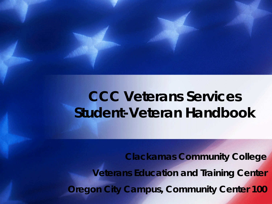# **CCC Veterans Services Student-Veteran Handbook**

**Clackamas Community College Veterans Education and Training Center Oregon City Campus, Community Center 100**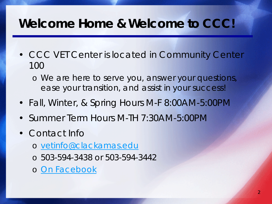#### *Welcome Home & Welcome to CCC!*

- CCC VET Center is located in Community Center 100
	- o We are here to serve you, answer your questions, ease your transition, and assist in your success!
- Fall, Winter, & Spring Hours M-F 8:00AM-5:00PM
- Summer Term Hours M-TH 7:30AM-5:00PM
- Contact Info
	- o [vetinfo@clackamas.edu](mailto:vetinfo@clackamas.edu)
	- o 503-594-3438 or 503-594-3442
	- o [On Facebook](http://www.facebook.com/cccvetcenter)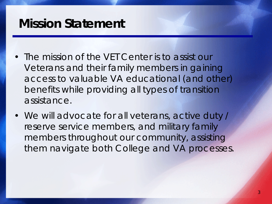#### *Mission Statement*

- The mission of the VET Center is to assist our Veterans and their family members in gaining access to valuable VA educational (and other) benefits while providing all types of transition assistance.
- We will advocate for all veterans, active duty / reserve service members, and military family members throughout our community, assisting them navigate both College and VA processes.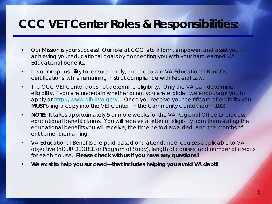#### *CCC VET Center Roles & Responsibilities:*

- Our Mission is your success! Our role at CCC is to inform, empower, and assist you in achieving your educational goals by connecting you with your hard-earned VA Educational benefits.
- It is our responsibility to ensure timely, and accurate VA Educational Benefits certifications while remaining in strict compliance with Federal Law.
- The CCC VET Center does not determine eligibility. Only the VA can determine eligibility, if you are uncertain whether or not you are eligible, we encourage you to apply at http://www.gibill.va.gov/. Once you receive your certificate of eligibility you **MUST** bring a copy into the VET Center (in the Community Center, room 100).
- **NOTE:** It takes approximately 5 or more weeks for the VA Regional Office to process educational benefit claims. You will receive a letter of eligibility from them stating the educational benefits you will receive, the time period awarded, and the months of entitlement remaining.
- VA Educational Benefits are paid based on: attendance, courses applicable to VA objective (YOUR DEGREE or Program of Study), length of courses, and number of credits for each course. *Please check with us if you have any questions!!*
- **We exist to help you succeed—that includes helping you avoid VA debt!!**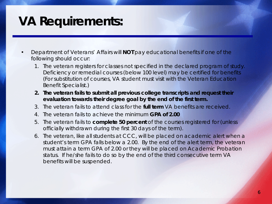# *VA Requirements:*

- Department of Veterans' Affairs will **NOT** pay educational benefits if one of the following should occur:
	- 1. The veteran registers for classes not specified in the declared program of study. Deficiency or remedial courses (below 100 level) may be certified for benefits (For substitution of courses, VA student must visit with the Veteran Education Benefit Specialist.)
	- **2. The veteran fails to submit all previous college transcripts and request their evaluation towards their degree goal by the end of the first term.**
	- 3. The veteran fails to attend class for the **full term** VA benefits are received.
	- 4. The veteran fails to achieve the minimum **GPA of 2.00**
	- 5. The veteran fails to **complete 50 percent** of the courses registered for (unless officially withdrawn during the first 30 days of the term).
	- 6. The veteran, like all students at CCC, will be placed on academic alert when a student's term GPA falls below a 2.00. By the end of the alert term, the veteran must attain a term GPA of 2.00 or they will be placed on Academic Probation status. If he/she fails to do so by the end of the third consecutive term VA benefits will be suspended.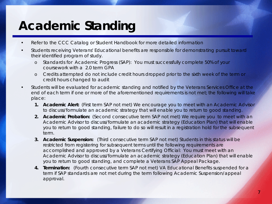# *Academic Standing*

- Refer to the CCC Catalog or Student Handbook for more detailed information
- Students receiving Veterans' Educational benefits are responsible for demonstrating pursuit toward their identified program of study.
	- o Standards for Academic Progress (SAP): You must successfully complete 50% of your coursework with a 2.0 term GPA
	- o Credits attempted do not include credit hours dropped prior to the sixth week of the term or credit hours changed to audit
- Students will be evaluated for academic standing and notified by the Veterans Services Office at the end of each term if one or more of the aforementioned requirements is not met; the following will take place:
	- **1. Academic Alert:** (First term SAP not met) We encourage you to meet with an Academic Advisor to discuss/formulate an academic strategy that will enable you to return to good standing.
	- **2. Academic Probation:** (Second consecutive term SAP not met) We require you to meet with an Academic Advisor to discuss/formulate an academic strategy (Education Plan) that will enable you to return to good standing, failure to do so will result in a registration hold for the subsequent term.
	- **3. Academic Suspension:** (Third consecutive term SAP not met) Students in this status will be restricted from registering for subsequent terms until the following requirements are accomplished and approved by a Veterans Certifying Official: You must meet with an Academic Advisor to discuss/formulate an academic strategy (Education Plan) that will enable you to return to good standing, and complete a Veterans SAP Appeal Package.
	- **4. Termination:** (Fourth consecutive term SAP not met) VA Educational Benefits suspended for a term if SAP standards are not met during the term following Academic Suspension/appeal approval.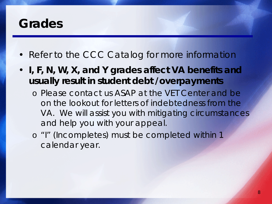#### *Grades*

- Refer to the CCC Catalog for more information
- **I, F, N, W, X, and Y grades affect VA benefits and usually result in student debt /overpayments**
	- o Please contact us ASAP at the VET Center and be on the lookout for letters of indebtedness from the VA. We will assist you with mitigating circumstances and help you with your appeal.
	- o "I" (Incompletes) must be completed within 1 calendar year.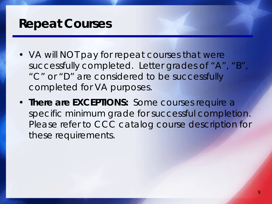#### *Repeat Courses*

- VA will NOT pay for repeat courses that were successfully completed. Letter grades of "A", "B", "C" or "D" are considered to be successfully completed for VA purposes.
- **There are EXCEPTIONS:** Some courses require a specific minimum grade for successful completion. Please refer to CCC catalog course description for these requirements.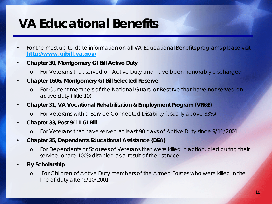# *VA Educational Benefits*

- For the most up-to-date information on all VA Educational Benefits programs please visit <http://www.gibill.va.gov/>
- **Chapter 30, Montgomery GI Bill Active Duty**
	- o For Veterans that served on Active Duty and have been honorably discharged
- **Chapter 1606, Montgomery GI Bill Selected Reserve**
	- o For Current members of the National Guard or Reserve that have not served on active duty (Title 10)
- **Chapter 31, VA Vocational Rehabilitation & Employment Program (VR&E)**
	- o For Veterans with a Service Connected Disability (usually above 33%)
- **Chapter 33, Post 9/11 GI Bill**
	- o For Veterans that have served at least 90 days of Active Duty since 9/11/2001
- **Chapter 35, Dependents Educational Assistance (DEA)**
	- o For Dependents or Spouses of Veterans that were killed in action, died during their service, or are 100% disabled as a result of their service
- **Fry Scholarship**
	- o For Children of Active Duty members of the Armed Forces who were killed in the line of duty after 9/10/2001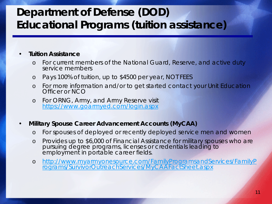#### *Department of Defense (DOD) Educational Programs (tuition assistance)*

#### • **Tuition Assistance**

- o For current members of the National Guard, Reserve, and active duty service members
- o Pays 100% of tuition, up to \$4500 per year, NOT FEES
- o For more information and/or to get started contact your Unit Education Officer or NCO
- o For ORNG, Army, and Army Reserve visit <https://www.goarmyed.com/login.aspx>

#### • **Military Spouse Career Advancement Accounts (MyCAA)**

- o For spouses of deployed or recently deployed service men and women
- o Provides up to \$6,000 of Financial Assistance for military spouses who are pursuing degree programs, licenses or credentials leading to employment in portable career fields.
- o [http://www.myarmyonesource.com/FamilyProgramsandServices/FamilyP](http://www.myarmyonesource.com/FamilyProgramsandServices/FamilyPrograms/SurvivorOutreachServices/MyCAAFactSheet.aspx) rograms/SurvivorOutreachServices/MyCAAFactSheet.aspx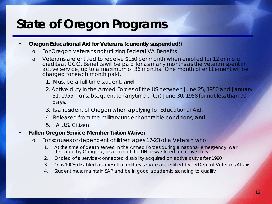# *State of Oregon Programs*

- **Oregon Educational Aid for Veterans (currently suspended!)**
	- o For Oregon Veterans not utilizing Federal VA Benefits
	- o Veterans are entitled to receive \$150 per month when enrolled for 12 or more credits at CCC. Benefits will be paid for as many months as the veteran spent in active service, up to a maximum of 36 months. One month of entitlement will be charged for each month paid.
		- 1. Must be a full-time student, **and**
		- 2. Active duty in the Armed Forces of the US between June 25, 1950 and January 31, 1955 **or** subsequent to (anytime after) June 30, 1958 for not less than 90 days,
		- 3. Is a resident of Oregon when applying for Educational Aid,
		- 4. Released from the military under honorable conditions, **and**
		- 5. A U.S. Citizen
- **Fallen Oregon Service Member Tuition Waiver**
	- o For spouses or dependent children ages 17-23 of a Veteran who:
		- 1. At the time of death served in the Armed Forces during a national emergency, war declared by Congress, or action of the UN or was killed on active duty
		- 2. Or died of a service-connected disability acquired on active duty after 1990
		- 3. Or is 100% disabled as a result of military service as certified by US Dept of Veterans Affairs
		- 4. Student must maintain SAP and be in good academic standing to qualify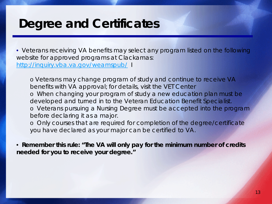#### *Degree and Certificates*

• Veterans receiving VA benefits may select any program listed on the following website for approved programs at Clackamas: <http://inquiry.vba.va.gov/weamspub/> I

o Veterans may change program of study and continue to receive VA benefits with VA approval; for details, visit the VET Center o When changing your program of study a new education plan must be developed and turned in to the Veteran Education Benefit Specialist. o Veterans pursuing a Nursing Degree must be accepted into the program before declaring it as a major.

o Only courses that are required for completion of the degree/certificate you have declared as your major can be certified to VA.

• **Remember this rule: "The VA will only pay for the minimum number of credits needed for you to receive your degree."**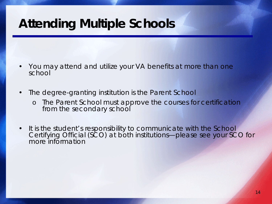# *Attending Multiple Schools*

- You may attend and utilize your VA benefits at more than one school
- The degree-granting institution is the Parent School
	- The Parent School must approve the courses for certification from the secondary school
- It is the student's responsibility to communicate with the School Certifying Official (SCO) at both institutions—please see your SCO for more information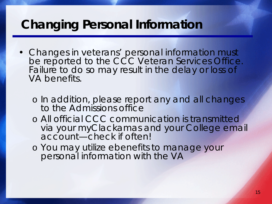### *Changing Personal Information*

- Changes in veterans' personal information must be reported to the CCC Veteran Services Office. Failure to do so may result in the delay or loss of VA benefits.
	- o In addition, please report any and all changes to the Admissions office
	- o All official CCC communication is transmitted via your myClackamas and your College email account—check if often!
	- o You may utilize ebenefits to manage your personal information with the VA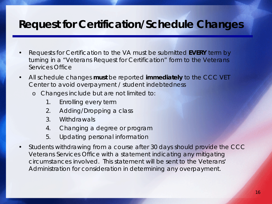#### *Request for Certification/Schedule Changes*

- Requests for Certification to the VA must be submitted **EVERY** term by turning in a "Veterans Request for Certification" form to the Veterans Services Office
- All schedule changes **must** be reported **immediately** to the CCC VET Center to avoid overpayment / student indebtedness
	- o Changes include but are not limited to:
		- 1. Enrolling every term
		- 2. Adding/Dropping a class
		- 3. Withdrawals
		- 4. Changing a degree or program
		- 5. Updating personal information
- Students withdrawing from a course after 30 days should provide the CCC Veterans Services Office with a statement indicating any mitigating circumstances involved. This statement will be sent to the Veterans' Administration for consideration in determining any overpayment.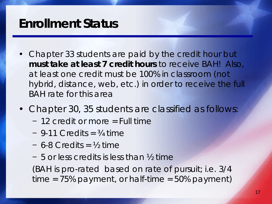#### *Enrollment Status*

- Chapter 33 students are paid by the credit hour but **must take at least 7 credit hours** to receive BAH! Also, at least one credit must be 100% in classroom (not hybrid, distance, web, etc.) in order to receive the full BAH rate for this area
- Chapter 30, 35 students are classified as follows:
	- − 12 credit or more = Full time
	- − 9-11 Credits = ¾ time
	- − 6-8 Credits = ½ time
	- − 5 or less credits is less than ½ time

(BAH is pro-rated based on rate of pursuit; i.e. 3/4 time = 75% payment, or half-time = 50% payment)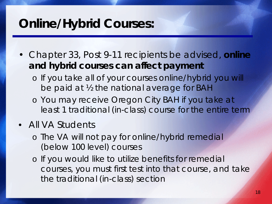# *Online/Hybrid Courses:*

- Chapter 33, Post 9-11 recipients be advised, **online and hybrid courses can affect payment**
	- o If you take all of your courses online/hybrid you will be paid at ½ the national average for BAH
	- o You may receive Oregon City BAH if you take at least 1 traditional (in-class) course for the entire term

#### • All VA Students

- o The VA will not pay for online/hybrid remedial (below 100 level) courses
- o If you would like to utilize benefits for remedial courses, you must first test into that course, and take the traditional (in-class) section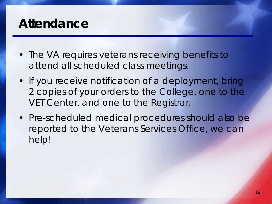### *Attendance*

- The VA requires veterans receiving benefits to attend all scheduled class meetings.
- If you receive notification of a deployment, bring 2 copies of your orders to the College, one to the VET Center, and one to the Registrar.
- Pre-scheduled medical procedures should also be reported to the Veterans Services Office, we can help!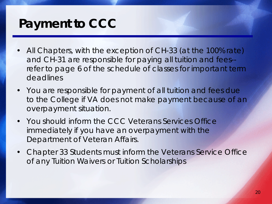# *Payment to CCC*

- All Chapters, with the exception of CH-33 (at the 100% rate) and CH-31 are responsible for paying all tuition and fees- refer to page 6 of the schedule of classes for important term deadlines
- You are responsible for payment of all tuition and fees due to the College if VA does not make payment because of an overpayment situation.
- You should inform the CCC Veterans Services Office immediately if you have an overpayment with the Department of Veteran Affairs.
- Chapter 33 Students must inform the Veterans Service Office of any Tuition Waivers or Tuition Scholarships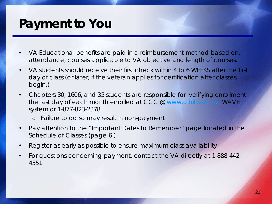# *Payment to You*

- VA Educational benefits are paid in a reimbursement method based on: attendance, courses applicable to VA objective and length of courses**.**
- VA students should receive their first check within 4 to 6 WEEKS after the first day of class (or later, if the veteran applies for certification after classes begin.)
- Chapters 30, 1606, and 35 students are responsible for verifying enrollment the last day of each month enrolled at CCC @ [www.gibill.va.gov](http://www.gibill.va.gov/) WAVE system or 1-877-823-2378
	- o *Failure to do so may result in non-payment*
- Pay attention to the "Important Dates to Remember" page located in the Schedule of Classes (page 6!)
- Register as early as possible to ensure maximum class availability
- For questions concerning payment, contact the VA directly at 1-888-442- 4551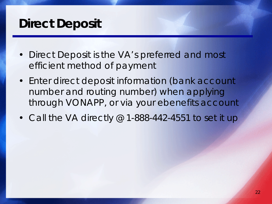## *Direct Deposit*

- Direct Deposit is the VA's preferred and most efficient method of payment
- Enter direct deposit information (bank account number and routing number) when applying through VONAPP, or via your ebenefits account
- Call the VA directly @ 1-888-442-4551 to set it up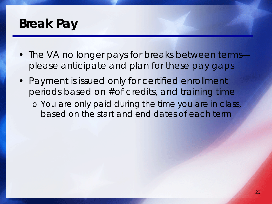### *Break Pay*

- The VA no longer pays for breaks between terms please anticipate and plan for these pay gaps
- Payment is issued only for certified enrollment periods based on #of credits, and training time
	- o You are only paid during the time you are in class, based on the start and end dates of each term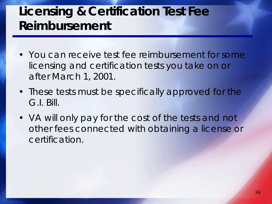# *Licensing & Certification Test Fee Reimbursement*

- You can receive test fee reimbursement for some licensing and certification tests you take on or after March 1, 2001.
- These tests must be specifically approved for the G.I. Bill.
- VA will only pay for the cost of the tests and not other fees connected with obtaining a license or certification.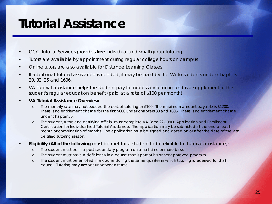### *Tutorial Assistance*

- CCC Tutorial Services provides **free** individual and small group tutoring
- Tutors are available by appointment during regular college hours on campus
- Online tutors are also available for Distance Learning Classes
- If additional Tutorial assistance is needed, it may be paid by the VA to students under chapters 30, 33, 35 and 1606.
- VA Tutorial assistance helps the student pay for necessary tutoring and is a supplement to the student's regular education benefit (paid at a rate of \$100 per month)
- *VA Tutorial Assistance Overview*
	- o The monthly rate may not exceed the cost of tutoring or \$100. The maximum amount payable is \$1200. There is no entitlement charge for the first \$600 under chapters 30 and 1606. There is no entitlement charge under chapter 35.
	- o The student, tutor, and certifying official must complete VA Form 22-1990t, *Application and Enrollment Certification for Individualized Tutorial Assistance*. The application may be submitted at the end of each month or combination of months. The application must be signed and dated on or after the date of the last certified tutoring session.
- *Eligibility (All of the following must be met for a student to be eligible for tutorial assistance):*
	- o The student must be in a post-secondary program on a half-time or more basis
	- o The student must have a deficiency in a course that is part of his or her approved program
	- o The student must be enrolled in a course during the same quarter in which tutoring is received for that course. Tutoring may **not** occur between terms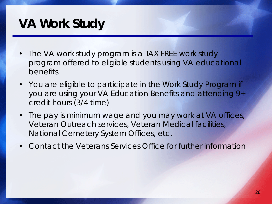# *VA Work Study*

- The VA work study program is a TAX FREE work study program offered to eligible students using VA educational benefits
- You are eligible to participate in the Work Study Program if you are using your VA Education Benefits and attending 9+ credit hours (3/4 time)
- The pay is minimum wage and you may work at VA offices, Veteran Outreach services, Veteran Medical facilities, National Cemetery System Offices, etc.
- Contact the Veterans Services Office for further information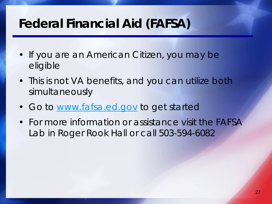# *Federal Financial Aid (FAFSA)*

- If you are an American Citizen, you may be eligible
- This is not VA benefits, and you can utilize both simultaneously
- Go to [www.fafsa.ed.gov](http://www.fafsa.ed.gov/) to get started
- For more information or assistance visit the FAFSA Lab in Roger Rook Hall or call 503-594-6082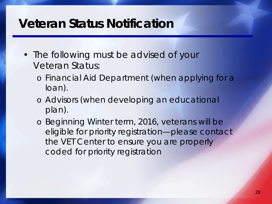#### *Veteran Status Notification*

- The following must be advised of your Veteran Status:
	- o Financial Aid Department (when applying for a loan).
	- o Advisors (when developing an educational plan).
	- o Beginning Winter term, 2016, veterans will be eligible for priority registration—please contact the VET Center to ensure you are properly coded for priority registration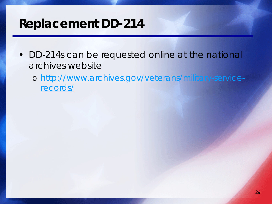# *Replacement DD-214*

- DD-214s can be requested online at the national archives website
	- o [http://www.archives.gov/veterans/military-service](http://www.archives.gov/veterans/military-service-records/)records/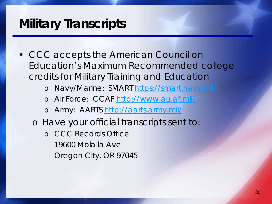# *Military Transcripts*

• CCC accepts the American Council on Education's Maximum Recommended college credits for Military Training and Education

o Navy/Marine: SMART <https://smart.navy.mil/>

- o Air Force: CCAF<http://www.au.af.mil/>
- o Army: AARTS<http://aarts.army.mil/>
- o Have your official transcripts sent to:
	- o CCC Records Office 19600 Molalla Ave Oregon City, OR 97045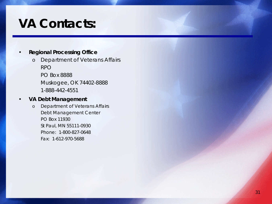# *VA Contacts:*

#### • **Regional Processing Office**

- o Department of Veterans Affairs RPO PO Box 8888 Muskogee, OK 74402-8888
	- 1-888-442-4551

#### • **VA Debt Management**

o Department of Veterans Affairs Debt Management Center PO Box 11930 St Paul, MN 55111-0930 Phone: 1-800-827-0648 Fax: 1-612-970-5688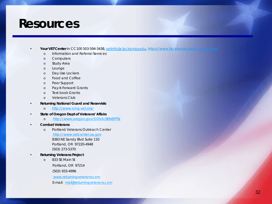#### *Resources*

#### • **Your VET Center** in CC100 503-594-3438, [vetinfo@clackamas.edu](mailto:vetinfo@clackamas.edu),<https://www.facebook.com/cccvetcenter>

- o Information and Referral Services
- o Computers
- o Study Area
- o Lounge
- o Day Use Lockers
- o Food and Coffee
- o Peer Support
- o Pay-it-Forward Grants
- o Text book Grants
- o Veterans Club
- **Returning National Guard and Reservists**
	- o <http://www.orng-vet.org/>
- **State of Oregon Dept of Veterans' Affairs**
	- o <http://www.oregon.gov/ODVA/BENEFITS/>
- **Combat Veterans**
	- o Portland Veterans Outreach Center [http://www.vetcenter.va.gov](http://www.vetcenter.va.gov/) 8383 NE Sandy Blvd Suite 110 Portland, OR 97220-4948 (503) 273-5370
- **Returning Veterans Project** 
	- o 833 SE Main St Portland, OR 97214 (503) 933-4996

www.returningveterans.com

E-mail: [mail@returningveterans.com](mailto:mail@returningveterans.com)